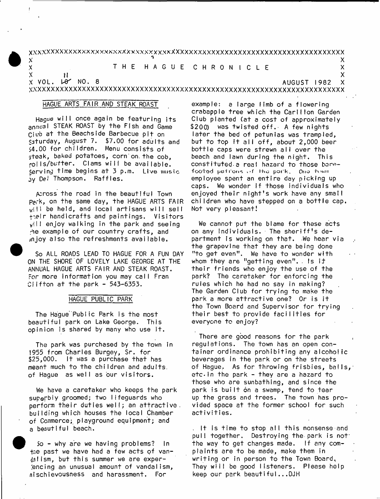### 

HAGUE CHRONICLE THE

 $\mathbf{\hat{X}}$ -11  $X$  VOL. LO $Y$  NO. 8

 $\mathbf{x}$ 

 $\bar{x}$ 

**AUGUST 1982** 

X

 $\boldsymbol{\mathsf{x}}$ 

X

 $\boldsymbol{\mathsf{x}}$ 

# 

# HAGUE ARTS FAIR AND STEAK ROAST

Haque will once again be featuring its annual STEAK ROAST by the Fish and Game Civb at the Beachside Barbecue pit on saturday, August 7, \$7.00 for adults and \$4.00 for children. Menu consists of steak, baked potatoes, cornion the cob. colls/butter. Clams will be available. serving time begins at 3 p.m. Live music by Del Thompson. Raffles.

Across the road in the beautiful Town Park, on the same day, the HAGUE ARTS FAIR will be held, and local artisans will sell  $\dagger$ eir handicrafts and paintings. Visitors will enjoy walking in the park and seeing the example of our country crafts, and injoy also the refreshments available.

So ALL ROADS LEAD TO HAGUE FOR A FUN DAY ON THE SHORE OF LOVELY LAKE GFORGE AT THE ANNUAL HAGUE ARTS FAIR AND STEAK ROAST. For more information you may call Fran Clifton at the park  $-$  543-6353.

### HAGUE PUBLIC PARK

The Haque Public Park is the most beautiful park on Lake George. This opinion is shared by many who use it.

The park was purchased by the town in 1955 from Charles Burgey, Sr. for  $$25,000.$ It was a purchase that has meant much to the children and adults. of Haque as well as our visitors.

We have a caretaker who keeps the park superbly groomed; two lifeguards who perform their duties well; an attractive. building which houses the local Chamber of Commerce; playground equipment; and a beautiful beach.

 $50 -$  why are we having problems? In the past we have had a few acts of vandalism, but this summer we are experencing an unusual amount of vandalism, nischievousness and harassment. For

example: a large limb of a flowering crabapple tree which the Carillon Garden Club planted (at a cost of approximately \$200) was twisted off. A few nights later the bed of petunias was trampled. but to top it all off, about 2,000 beer bottle caps were strewn all over the beach and lawn during the night. This constituted a real hazard to those barefooted patitons of the park, One fown employee spent an entire day picking up caps. We wonder if those individuals who enjoyed their night's work have any small children who have stepped on a bottle cap. Not very pleasant!

We cannot put the blame for these acts on any individuals. The sheriff's department is working on that. We hear via the grapevine that they are being done "to get even". We have to wonder with whom they are "getting even". Is it their friends who enjoy the use of the park? The caretaker for enforcing the rules which he had no say in making? The Garden Club for trying to make the park a more attractive one? Or is it the Town Board and Supervisor for trying their best to provide facilities for everyone to enjoy?

There are good reasons for the park regulations. The town has an open container ordinance prohibiting any alcoholic beverages in the park or on the streets of Hague, As for throwing frisbies, bails, etc. in the park - they are a hazard to those who are sunbathing, and since the park is built on a swamp, tend to tear up the grass and trees. The town has provided space at the former school for such activities.

. It is time to stop all this nonsense and pull together. Destroying the park is not: the way to get changes made. If any complaints are to be made, make them in writing or in person to the Town Board, They will be good listeners. Please help keep our park beautiful...DJH

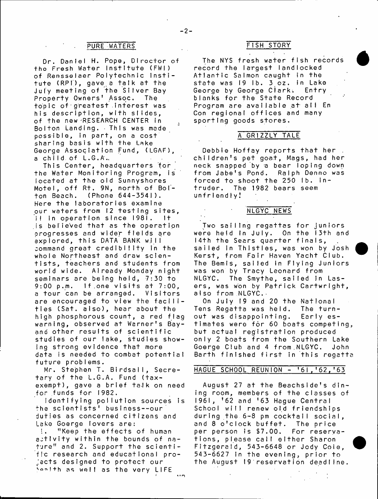Dr. Daniel H. Pope, Diroctor of the Fresh Water Institute (FWI) of Rensselaer Polytechnic Institute (RPI), gave a talk at the July meeting of the Silver Bay Property Owners' Assoc. The topic of greatest interest was his description, with slides, of the new RESEARCH CENTER in Bolton Landing. This was made possible, in part, on a cost sharing basis with the Lake George Association Fund, (LGAF), a child of  $L.G.A.,$ 

This Center, headquarters for the Water Monitoring Program, is located at the old Sunnyshores Motel, off Rt. 9N, north of Bolton Beach. (Phone 644-3541). Here the laboratories examine our waters from 12 testing sites, it in operation since 1981. It is believed that as the operation progresses and wider fields are explored, this DATA BANK will command great credibility in the whole Northeast and draw scientists, teachers and students from world wide. Already Monday night seminars are being held, 7:30 to  $9:00$  p.m. If one visits at  $7:00$ , a tour can be arranged. Visitors are encouraged to view the facilities (Sat. also), hear about the high phosphorous count, a red flag warning, observed at Warner's Bayand other results of scientific studies of our lake, studies showing strong evidence that more data is needed to combat potential future problems.

Mr. Stephen T. Birdsall, Secretary of the L.G.A. Fund (taxexempt), gave a brief talk on need for funds for 1982.

Identifying pollution sources is the scientists' business--our duties as concerned citizens and Lake Goerge lovers are:

!. "Keep the effects of human astivity within the bounds of  $na$  $t$ ure" and 2. Support the scientific research and educational projects designed to protect our Sealth as well as the very LIFE

# PURE WATERS FISH STORY

The NYS fresh water fish records record the largest landlocked Atlantic Salmon caught in the state was 19 lb. 3 oz. in Lake<br>George by George Clark. Entry George by George Clark. blanks for the State Record Program are available at all En Con regional offices and many sporting goods stores.

### A GRI ZZLY TALE

Debbie Hoffay reports that her . children's pet goat, Mags, had her neck snapped by a bear loping down from Jabe's Pond. Ralph Denno was forced to shoot the 250 lb. intruder. The 1982 bears seem unfriendly!

### NLGYC NEWS

Two sailing regattas for juniors were held in July. On the 13th and 14th the Sears quarter finals, sailed in Thistles, was won by Josh Kerst, from Fair Haven Yacht Club. The Bemis, sailed in Flying Juniors was won by Tracy Leonard from NLGYC. The Smythe, sailed in Lasers, was won by Patrick Cartwright, also from NLGYC.

On July 19 and 20 the National Tens Regatta was held. The turnout was disappointing. Early estimates were for 60 boats competing, but actual registration produced only 2 boats from the Southern Lake Goerge Club and 4 from NLGYC. John Barth finished first in this regatta

## HAGUE SCHOOL REUNION - ' 6 I . ' 6 2 , ' 63

August 27 at the Beachside's dining room, members of the classes of 1961, '62 and '63 Hague Central School will renew old friendships during the 6-8 pm cocktail social, and 8 o'clock buffet. The price per person is \$7.00. For reseryations, please call either Sharon Fitzgerald, 543-6648 or Jody Cole, 543-6627 in the evening, prior to the August 19 reservation deadline.

 $\cdots$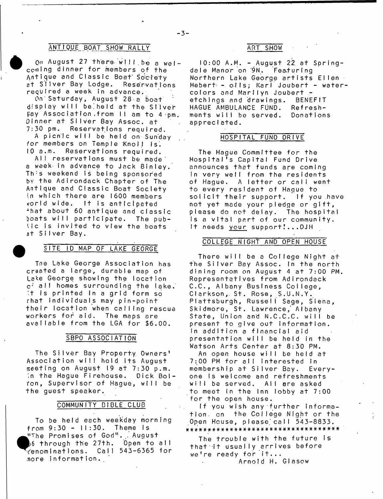## ANTIQUE BOAT SHOW RALLY ART SHOW

On August 27 there will be a welcoming dinner for members of the Antique and Classic Boat' Society at Silver Bay Lodge. Reservations required a week in advance.

On Saturday, August 28 a boat display will be.'held at the Silver Fay Association, from II am to 4 pm. Dinner at Silver Bay Assoc, at 7:30 pm. Reservations required. A picnic will be held on Sunday

for members on Temple Knoll Is. iO a.m. Reservations required. All reservations must be made

a week- in advance to Jack Binley. Th s weekend is being sponsored by the Adirondack Chapter of The Antique and Classic Boat Society in which there are 1600 members world wide. It is anticipated \*hat about 60 antique and classic boats will participate. The public is invited to view the boats at Silver Bay.

# SITE ID MAP OF LAKE GEORGE

The Lake George Association has created a large, durable map of Lake George showing the location  $o<sup>2</sup>$  all homes surrounding the lake. 't is printed in a grid form so rhat individuals may pin-point their location when calling rescue workers for aid. The maps are available from the LGA for \$6.00.

### SBPO ASSOCIATION

The Silver Bay Property Owners' Association will hold its August meeting on August 19 at 7:30 p.m.  $\mathsf{in}$  the Hague Firehouse. Dick Bolfon, Supervisor of Hague, will be the guest speaker.

# COMMUNITY BI BLE CLUB

To be held each weekday morning from 9:30 - 11:30. Theme is "The Promises of God". . August  $\mu$ 6 through the 27th. Open to all denominations. Cali 543-6365 for more information.

 $10:00$  A.M. - August 22 at Soringdale Manor on 9N. Featuring Northern Lake George artists Ellen Hebert - olls; Karl Joubert - watercolors and Marilyn Joubert etchings and drawings. BENEFIT HAGUE AMBULANCE FUND. Refreshments will be served. Donations appreciated.

### HOSPITAL FUND DRIVE

The Hague Committee for the Hospital's Capital Fund Drive announces that funds are coming in very well from the residents of Hague. A letter or call went to every resident of Haque to solicit their support. If you have not yet made your pledge or gift, please do not delay. The hospital is a vital part of our community. It needs your support!...DJH

### COLLEGE NIGHT AND OPEN HOUSE

There will be a College Night at the Silver Bay Assoc. In the north dining room on August 4 at 7:00 PM. Representatives from Adirondack C.C., Albany Business College, Clarkson,. St. Rose, S.U.N.Y. Plattsburgh, Russell Sage, Siena, Skidmore, St. Lawrence,' Albany State, Union and N.C.C.C. will be present to give out information. In addition a financial aid presentation will be held in the Watson Arts Center at 8:30 PM.

An open house will be held at 7:00 PM for all interested in membership at Silver Bay. Everyone is welcome and refreshments will be served. All are asked to meet in the Inn lobby at 7:00 for the open house.

If you wish any further information, on the College Night or the Open House, please call 543-8833. \* \* \* \* \* \* \* \* \* \* \* \* \* \* \* \* \* \* \* # # # # # # \* # \* # \* \* # # \* #

The trouble with the future is that it usually arrives before we're ready for  $it...$ Arnold H. Glasow

 $-3-$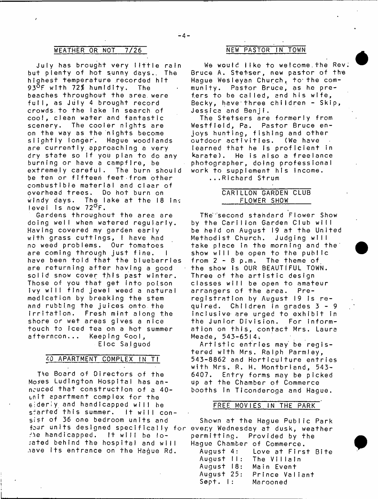# WEATHER OR NOT 7/26 NEW PASTOR IN TOWN

July has brought very little rain but plenty of hot sunny days. The highest temperature recorded hit 93°F with *12\$* h u m i d i t y . The beaches throughout the area.were full, as July 4 brought record crowds to the lake in search of cool, clean water and fantastic scenery. The cooler nights are on the way as the nights become slightly longer. Hague woodlands are currently approaching a very dry state so if you plan to do any burning or have a campfire, be extremely careful. The burn should be ten or fifteen feet from other combustible material and clear of overhead trees. Do hot burn on windy days. The lake at the 18 in: level is now  $72^{\circ}$ F.

Gardens throughout the area are doing well when watered regularly. Having covered my garden early with grass cuttings, I have had no weed problems. Our tomatoes are coming through just fine. have been told that the blueberries are returning after having a good solid snow cover this past winter. Those of you that get into poison Ivy will find jewel weed a natural medication by breaking the stem and rubbing the juices onto the irritation. Fresh mint along the shore or wet areas gives a nice touch to iced tea on a hot summer afternoon... Keeping cool, EIoc Salguod

### APARTMENT COMPLEX IN TI

The Board of Directors of the Moses Ludington Hospital has anncuced that construction of a 40tnit apartment complex for the eideriy and handicapped will be started this summer. It will consist of 36 one bedroom units and four units designed specifically for every Wednesday at dusk, weather the handicapped. It will be located behind the hospital and will have its entrance on the Hague Rd.

We would like to welcome the Rev. Bruce A. Stetser, new pastor of the Hague Wesleyan Church, to the community. Pastor Bruce, as he prefers to be called, and his wife, Becky, have three children - Skip, Jessica and Benji.

The Stetsers are formerly from Westfield, Pa. Pastor Bruce enjoys hunting, fishing and other outdoor activities. (We have learned that he is proficient in karate). He is also a freelance photographer, doing professional work to supplement his income. . . . R i c h a r d S t r u m

# CARILLON GARDEN CLUB FLOWER SHOW

The second standard Flower Show by the Carillon Garden Club will be held on August 19 at the United Methodist Church. Judging will take place in the morning and the show will be open to the public from 2 - 8 p.m. The theme of the show is OUR BEAUTIFUL TOWN. Three of the artistic design classes will be open to amateur arrangers of the area. Preregistration by August 19 is required. Children in grades  $3 - 9$ inclusive are urged to exhibit in the Junior Division. For information on this, contact Mrs. Laura Meade, 543-6514.

Artistic entries may be registered with Mrs. Ralph Parmley, 543-8862 and Horticulture entries with Mrs. R. H. Montbriand, 543-6407. Entry forms may be picked up at the Chamber of Commerce booths in Ticonderoga and Hague.

### FREE MOVIES IN THE PARK

Shown at the Hague Public Park permitting. Provided by the Hague Chamber of Commerce. August 4: Love at First Bite August II: The Villain August 18: Main Event August 25: Prince Valiant Sept. I: Marooned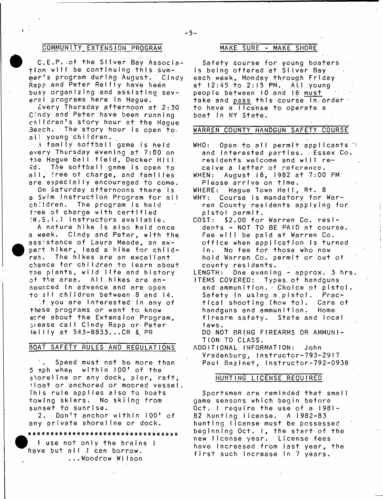### COMMUNIJY\_EXTENSION program

C.E.P. of the Silver Bay Association will be continuing this summer's program during August. Cindy Rapp and Peter Reilly have been busy organizing and assisting severe! programs here in Hague.

Every Thursday afternoon at 2:30 Cindy and Peter have been running cnildren's story hour at the Hague  $Beech.$  The story hour is open to. al! young children.

 $\pm$  A family softball game is held every Thursday evening at 7:00 on tne Hague bail field, Decker Hill Rd. The softball game is open to all, free of charge, and families are especially encouraged to come.

On Saturday afternoons there is a Swim Instruction Program for all children. The program is held free of charge with certified  $(W, S, \|\cdot\)$  instructors available.

A nature hike is also held once a week. Cindy and Peter, with the assistance of Laura Meade, an expert hiker, lead a hike for children. The hikes are an excellent chance for children to learn about the plants, wild life and history of the area. All hikes are announced in advance and a re open to all children between 8 and 14.

If you are interested in any of these programs or want to know gree about the Extension Program, ilease call Cindy Rapp or Peter Reilly at 543-8833...CR & PR

# BOAT SAFETY RULES AND REGULATIONS

 $\mathcal{L}_{\text{eff}}$ Speed must not be more than 5 nph when  $W^{\dagger}$  within  $100^{\dagger}$  of the shoreline or any dock, pier, raft, Moat or anchored or moored vessel. This rule applies also to boats towing skiers. No skiing from sunset to sunrise.

2. Don't anchor within 100' of any private shoreline or dock.

a\*##\*#####\*#####\*\*########\*\*######

I use not only the brains I have but all .! can borrow. . . . Wo o d r o w Wi I s o n

### MAKE SURE - MAKE SHORE

Safety Gourse for young boaters is being offered at Silver Bay each week, Monday through Friday  $at$   $12:45$  to  $2:15$  PM. All young people between 10 and 16 must take and pass this course in order to have a license to operate a boat in NY State.

### WARREN COUNTY HANDGUN SAFETY COURSE

- WHO: Open to all permit applicants  $\ddot{\phantom{a}}$ and interested parties. Essex Co. residents welcome and will receive a letter of referenco.
- WHEN: August 18, 1982 at 7:00 PM
- Please arrive on time.<br>WHERE: Haque Town Hall, Hague Town Hall, Rt. 8
- WHY: Course is mandatory for Warren County residents applying for.
- pistol permit.<br>COST: \$2.00 for \$2.00 for Warren Co. residents - NOT TO BE PAID at course. Fee will be paid at Warren Co. office when application is turned in. No fee for those who now hold Warren Co. permit or out of county residents.
- LENGTH: One evening  $-$  approx.  $3<sup>c</sup>$  hrs. ITEMS COVERED: Types of handguns and ammunition.  $\cdot$  Choice of pistol. Safety in using a pistol. Practical shooting (how to). Care of<br>handquns and ammunition. Home handquns and ammunition. firearm safety. State and local laws. DO NOT BRING FIREARMS OR AMMUNI-

TION TO CLASS.

ADDITIONAL INFORMATION: John Vradenburg, Instructor-793-2917 Paul Bazinet, Instructor-792-0938

### HUNTING LICENSE REQUIRED

Sportsmen are reminded that small game seasons which begin before Oct. I require the use of a 1981-82 hunting license. A 1982-83 hunting license must be possessed beginning Oct. I, the start of the new license year. License fees have Increased from last year, the first such increase in 7 years.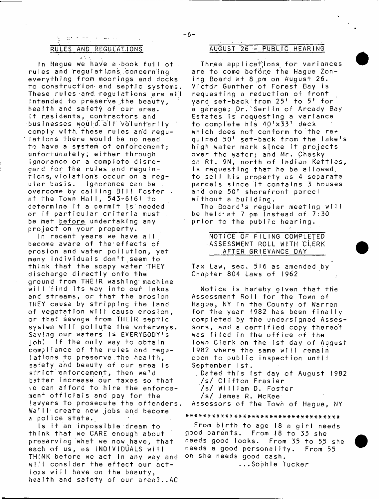# $\Delta \sim 100$

e saturno

In Haque we have a book full of . rules and regulations concerning everything from moorings and docks to construction and septic systems. These rules and regulations are all in tended to preserve the beauty, health and safety of our area. If residents, contractors and businesses would all voluntarily comply with these rules and requlations there would be no need to have a system of enforcement; unfortunately; either through ignorance or a complete disregard for the rules and regulations, violations occur on a regular basis. Ignorance can be overcome by calling BIII Foster at the Town Hall, 543-6161 to determine if a permit is needed or if particular criteria must  $\overline{\cdot}$ be met before undertaking any project on your property.

In recent years we have all become aware of the effects of erosion and water pollution, yet many individuals don't seem to think that the soapy water THEY discharge directly onto the ground from THEIR washing machine will find its way into our lakes and streams, or that the erosion THEY cause by stripping the land of vegetation will cause erosion, or that sewage from THEIR septic system will pollute the waterways. Saving our waters is EVERYBODY's job! If the only way to obtain compliance of the rules and regulations to preserve.the health, safety and beauty of our area is strict enforcement, then we'd better increase our taxes so that ve can afford to hire the enforcemen<sup>+</sup> officials and pay for the lawyers to prosecute the offenders. We'll create new jobs and become a police state.

Is it an impossible dream to think that we CARE enough about preserving what we now have, that each of us, as INDIVIDUALS will THINK before we act in any way and will consider the effect our actions will have on the beauty, health and safety of our area?..AC

### RULES AND REGULATIONS AUGUST *26* - PUBLIC HEARING

 $-6-$ 

Three applications for variances are to come beföre the Hague Zoning Board at 8 pm on August 26. Victor Gunther of Forest Bay is requesting a reduction of front yard set-back from 25' to 5' for a garage; Dr. Serlin of Arcady Bay Estates is requesting a variance to complete hfs 40'x33' deck which does not conform to the re $\div$ quired 50' set-back from the lake's high water mark since it projects over the water; and Mr. Chesky on Rt. 9N, north of Indian Kettles, Is requesting that he be allowed. to sell his property as 4 separate parcels since it contains 3 houses and one 50' shorefront parcel without a building.

The Board's regular meeting will be held at 7 pm instead of 7:30 prior to the public hearing.

## NOTICE OF FILING COMPLETED ASSESSMENT ROLL WITH CLERK AFTER GRIEVANCE DAY

Tax Law, sec. 516 as amended by Chapter 804 Laws of 1962

Notice is hereby given that the Assessment Roll for the Town of Hague, NY in the County of Warren for the year 1982 has been finally completed by the undersigned Assessors, and a certified copy thereof was filed in the office of the Town Clerk on the 1st day of August 1982 where the same will remain open to public inspection until September 1st.

. Dated this 1st day of August 1982 *Is/* CI i f t o n F r a s i e r

- /s/ William D. Foster
- *Isf* J a m e s R. McKee

Assessors of the Town of Hague, NY

### # # \* \* \* # \* \* # \* \* # \* # \* # \* \* # # # # # # # # # # # # # # # # \*

From birth to age 18 a girl needs good parents. From 18 to 35 she needs good looks. From 35 to 55 she needs a good personality. From 55 on she needs good cash.

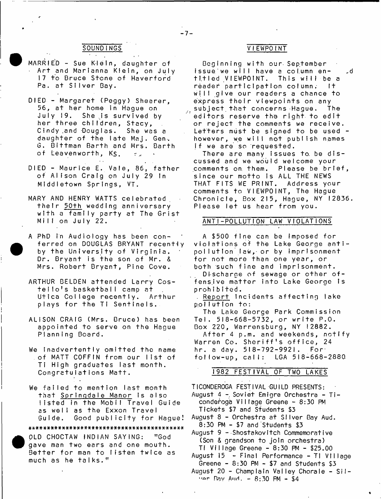### SOUNDINGS VIEWPOINT

- MARRIED Sue Klein, daughter of Art and Marianna Klein, on July 17 to Bruce Stone of Haverford Pa. at Silver Bay.
- DIED Margaret (Peggy) Shearer, 56, at her home in Hague on July 19. She is survived by her three children, Stacy, Cindy and Douglas. She was a daughter of the late Maj. Gen. G. Bittman Barth and Mrs. Barth of Leavenworth, Ks.  $\sigma_{\rm eff}$
- DIED Maurice E. Vale, 86, father of Alison Craig on July 29 In Middletown Springs, VT.
- MARY AND HENRY WATTS celebrated their 50th wedding anniversary with a family party at The Grist MillonJuly22.
- A PhD in Audiology has been conferred on DOUGLAS BRYANT recentiy by the University of Virginia. Dr. Bryant is the son of Mr. & Mrs. Robert Bryant, Pine Cove.
- ARTHUR BELDEN attended Larry Costello's basketball camp at Utica College recently. Arthur plays for the Ti Sentinels.
- ALISON CRAIG (Mrs. Bruce) has been appointed to serve on the Hague Planning Board.
- We inadvertently omitted the name of MATT COFFIN from our list of Ti High graduates last month. Congratulations Matt.

We failed to mention last month that Springdale Manor is also iisted in the Mobil Travel Guide as well as the Exxon Travel Guide. Good publicity for Hague! a\*\*######\*##\*######\*##\*####\*\*#\*#\*###\*#\*#\*\* OLD CHOCTAW INDIAN SAYING; "God gave man two ears and one mouth. Better for man to listen twice as much as he talks."

Beginning with our September issue we will have a column en- d titled VIEWPOINT. This will be a reader participation column. It will give our readers a chance to express their viewpoints on any subject that concerns Hague. The editors reserve the right to edit or reject the comments we receive. Letters must be signed to be used  $$ however, we will not publish names if we are so requested.

There are many issues to be discussed and we would welcome your comments on them. Please be brief, since our motto is ALL THE NEWS THAT FITS WE PRINT. Address your comments to VIEWPOINT, The Hague Chronicle, Box 215, Hague, NY 12836. Please let us hear from you.

### ANTI - POLLUTI ON LAW VI OLATI ONS

A \$500 fine can be imposed for violations of the Lake George antipollution law, or by imprisonment for not more than one year, or both such fine and imprisonment.

Discharge of sewage or other offensive m atter Into Lake George Is prohibited.

Report Incidents affecting lake pollution to:

The Lake George Park Commission Tel. 518-668-5732, or write P.O. Bo $\times$  220, Warrensburg, NY 12882.

After 4 p.m. and weekends, notify Warren Co. Sheriff's office, 24 hr. a day. 518-792-9921. For<sup>.</sup> follow-up, call: LGA 518-668-2880

### 1982 FESTIVAL OF TWO LAKES

TICONDEROGA FESTIVAL GUILD PRESENTS: August 4 - Soviet Emigre Orchestra - Ticonderoga Village Greene - 8:30 PM Tickets \$7 and Students \$3 August 8 - Orchestra at Silver Bay Aud.  $8:30$  PM  $-$  \$7 and Students \$3

August 9 - Shostakovitch Commemorative (Son & grandson to join orchestra) Ti Village Greene -  $8:30$  PM -  $$25.00$ 

August  $15 -$  Final Performance - Ti Village Greene -  $8:30$  PM - \$7 and Students \$3

August 20 - Champlain Valley Chorale - Stl  $var$  Ray And.  $- 8:30$  PM  $- 54$